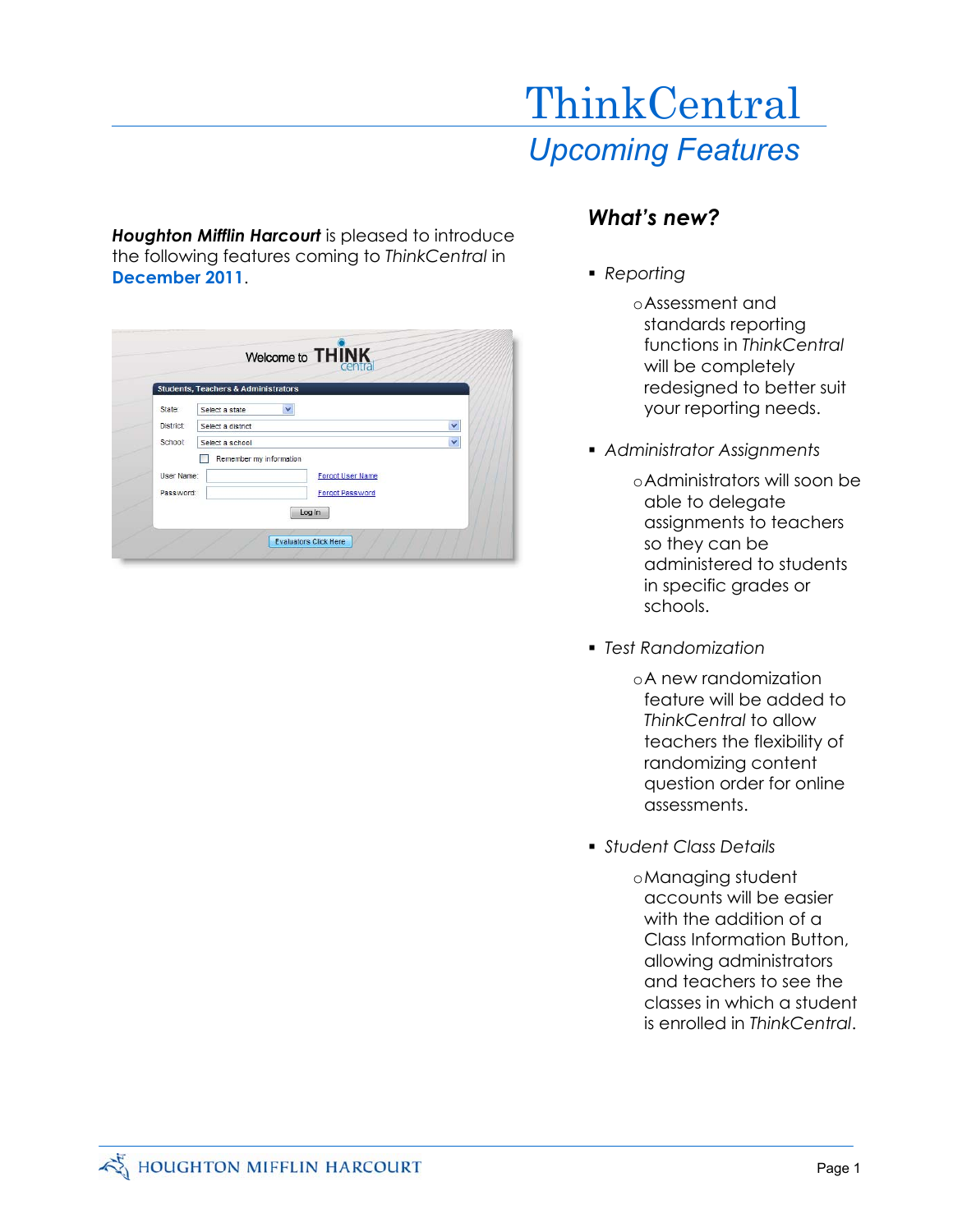# *Upcoming Features***ThinkCentral**

*Houghton Mifflin Harcourt* is pleased to introduce the following features coming to *ThinkCentral* in **December 2011**.

|            | <b>Students, Teachers &amp; Administrators</b> |   |
|------------|------------------------------------------------|---|
| State:     | ×<br>Select a state                            |   |
| District:  | Select a district                              | × |
| School:    | Select a school                                | × |
|            | Remember my information                        |   |
| User Name: | <b>Forgot User Name</b>                        |   |
| Password:  | <b>Forgot Password</b>                         |   |
|            | Log In                                         |   |

### *What's new?*

- *Reporting* 
	- oAssessment and standards reporting functions in *ThinkCentral* will be completely redesigned to better suit your reporting needs.
- *Administrator Assignments* 
	- oAdministrators will soon be able to delegate assignments to teachers so they can be administered to students in specific grades or schools.
- *Test Randomization* 
	- oA new randomization feature will be added to *ThinkCentral* to allow teachers the flexibility of randomizing content question order for online assessments.
- *Student Class Details* 
	- oManaging student accounts will be easier with the addition of a Class Information Button, allowing administrators and teachers to see the classes in which a student is enrolled in *ThinkCentral*.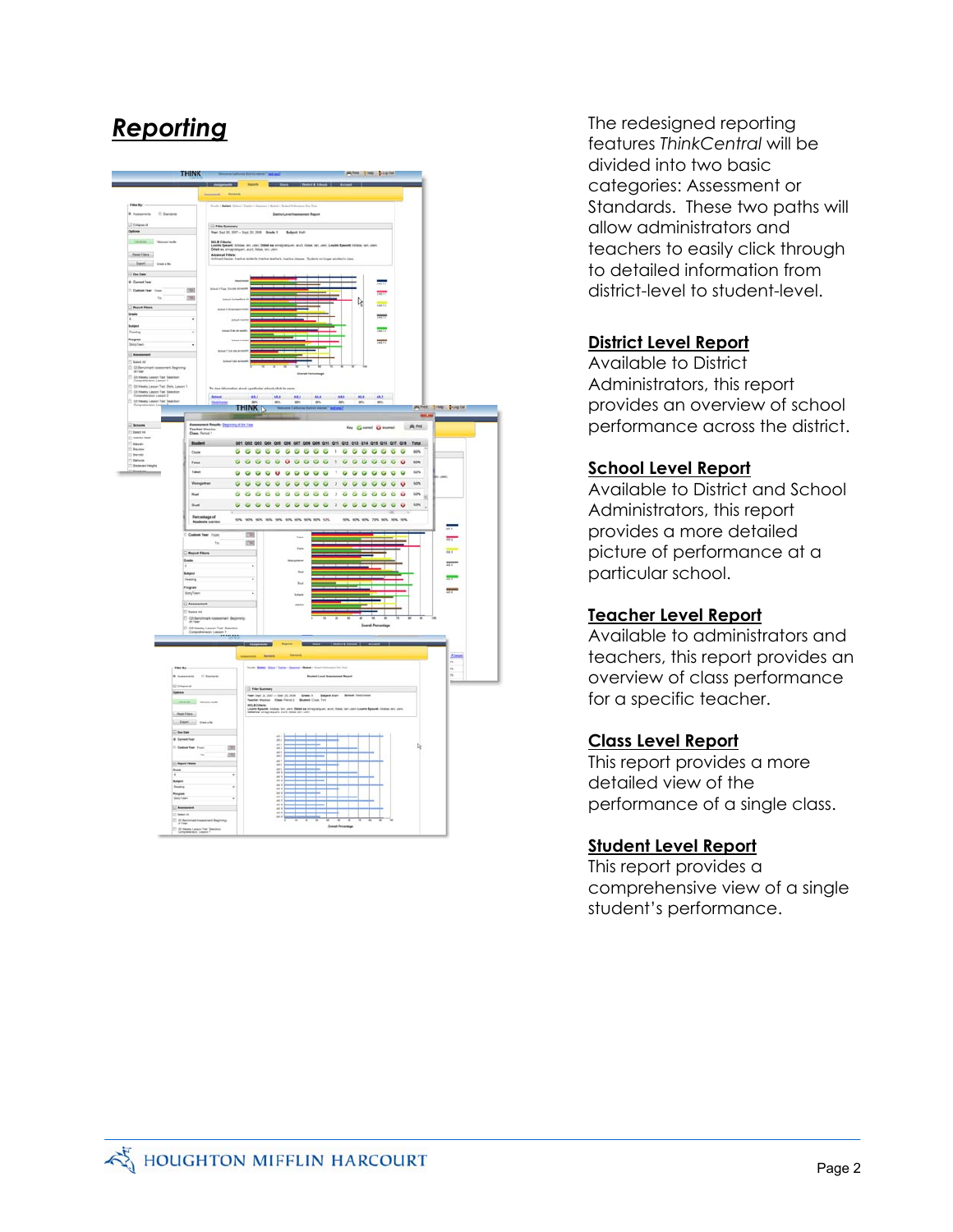

**Reporting** The redesigned reporting features *ThinkCentral* will be divided into two basic categories: Assessment or Standards. These two paths will allow administrators and teachers to easily click through to detailed information from district-level to student-level.

#### **District Level Report**

Available to District Administrators, this report provides an overview of school performance across the district.

#### **School Level Report**

Available to District and School Administrators, this report provides a more detailed picture of performance at a particular school.

#### **Teacher Level Report**

Available to administrators and teachers, this report provides an overview of class performance for a specific teacher.

#### **Class Level Report**

This report provides a more detailed view of the performance of a single class.

#### **Student Level Report**

This report provides a comprehensive view of a single student's performance.